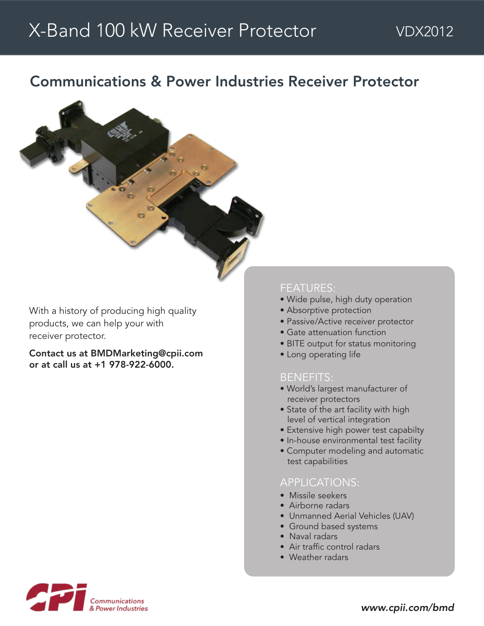## Communications & Power Industries Receiver Protector



With a history of producing high quality products, we can help your with receiver protector.

Contact us at BMDMarketing@cpii.com or at call us at +1 978-922-6000.

#### FEATURES:

- Wide pulse, high duty operation
- Absorptive protection
- Passive/Active receiver protector
- Gate attenuation function
- BITE output for status monitoring
- Long operating life

#### BENEFITS:

- World's largest manufacturer of receiver protectors
- State of the art facility with high level of vertical integration
- Extensive high power test capabilty
- In-house environmental test facility
- Computer modeling and automatic test capabilities

#### APPLICATIONS:

- Missile seekers
- Airborne radars
- Unmanned Aerial Vehicles (UAV)
- Ground based systems
- Naval radars
- Air traffic control radars
- Weather radars